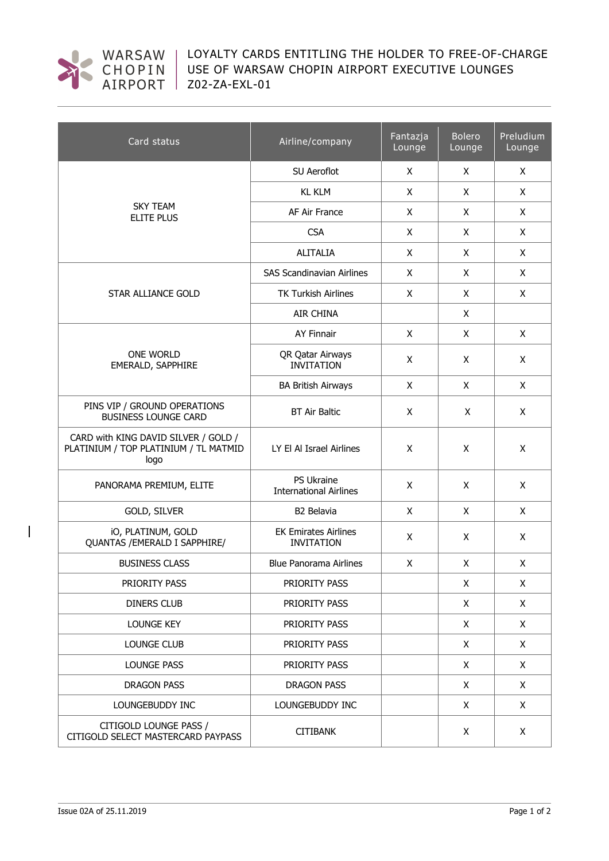

LOYALTY CARDS ENTITLING THE HOLDER TO FREE-OF-CHARGE USE OF WARSAW CHOPIN AIRPORT EXECUTIVE LOUNGES Z02-ZA-EXL-01

| Card status                                                                           | Airline/company                                  | Fantazja<br>Lounge | <b>Bolero</b><br>Lounge | Preludium<br>Lounge |
|---------------------------------------------------------------------------------------|--------------------------------------------------|--------------------|-------------------------|---------------------|
| <b>SKY TEAM</b><br>ELITE PLUS                                                         | SU Aeroflot                                      | X                  | X                       | X                   |
|                                                                                       | <b>KL KLM</b>                                    | X                  | X                       | X                   |
|                                                                                       | AF Air France                                    | X                  | X                       | X                   |
|                                                                                       | <b>CSA</b>                                       | X                  | X                       | X                   |
|                                                                                       | <b>ALITALIA</b>                                  | X                  | X                       | X                   |
| STAR ALLIANCE GOLD                                                                    | <b>SAS Scandinavian Airlines</b>                 | X                  | X                       | X                   |
|                                                                                       | <b>TK Turkish Airlines</b>                       | X                  | X                       | X                   |
|                                                                                       | <b>AIR CHINA</b>                                 |                    | X                       |                     |
| <b>ONE WORLD</b><br>EMERALD, SAPPHIRE                                                 | <b>AY Finnair</b>                                | X                  | X                       | X                   |
|                                                                                       | QR Qatar Airways<br><b>INVITATION</b>            | X                  | X                       | X                   |
|                                                                                       | <b>BA British Airways</b>                        | X                  | X                       | X                   |
| PINS VIP / GROUND OPERATIONS<br><b>BUSINESS LOUNGE CARD</b>                           | <b>BT Air Baltic</b>                             | X                  | X                       | X                   |
| CARD with KING DAVID SILVER / GOLD /<br>PLATINIUM / TOP PLATINIUM / TL MATMID<br>logo | LY El Al Israel Airlines                         | X                  | X                       | X                   |
| PANORAMA PREMIUM, ELITE                                                               | PS Ukraine<br><b>International Airlines</b>      | X                  | X                       | X                   |
| GOLD, SILVER                                                                          | B2 Belavia                                       | X                  | X                       | X                   |
| iO, PLATINUM, GOLD<br>QUANTAS / EMERALD I SAPPHIRE/                                   | <b>EK Emirates Airlines</b><br><b>INVITATION</b> | X                  | X                       | X                   |
| <b>BUSINESS CLASS</b>                                                                 | <b>Blue Panorama Airlines</b>                    | X                  | X                       | X                   |
| PRIORITY PASS                                                                         | PRIORITY PASS                                    |                    | X                       | X                   |
| <b>DINERS CLUB</b>                                                                    | PRIORITY PASS                                    |                    | X                       | X                   |
| <b>LOUNGE KEY</b>                                                                     | PRIORITY PASS                                    |                    | X                       | X                   |
| <b>LOUNGE CLUB</b>                                                                    | PRIORITY PASS                                    |                    | X                       | X                   |
| <b>LOUNGE PASS</b>                                                                    | PRIORITY PASS                                    |                    | X                       | X                   |
| <b>DRAGON PASS</b>                                                                    | <b>DRAGON PASS</b>                               |                    | X                       | X                   |
| LOUNGEBUDDY INC                                                                       | LOUNGEBUDDY INC                                  |                    | X                       | X                   |
| CITIGOLD LOUNGE PASS /<br>CITIGOLD SELECT MASTERCARD PAYPASS                          | <b>CITIBANK</b>                                  |                    | X                       | X                   |

 $\overline{\phantom{a}}$